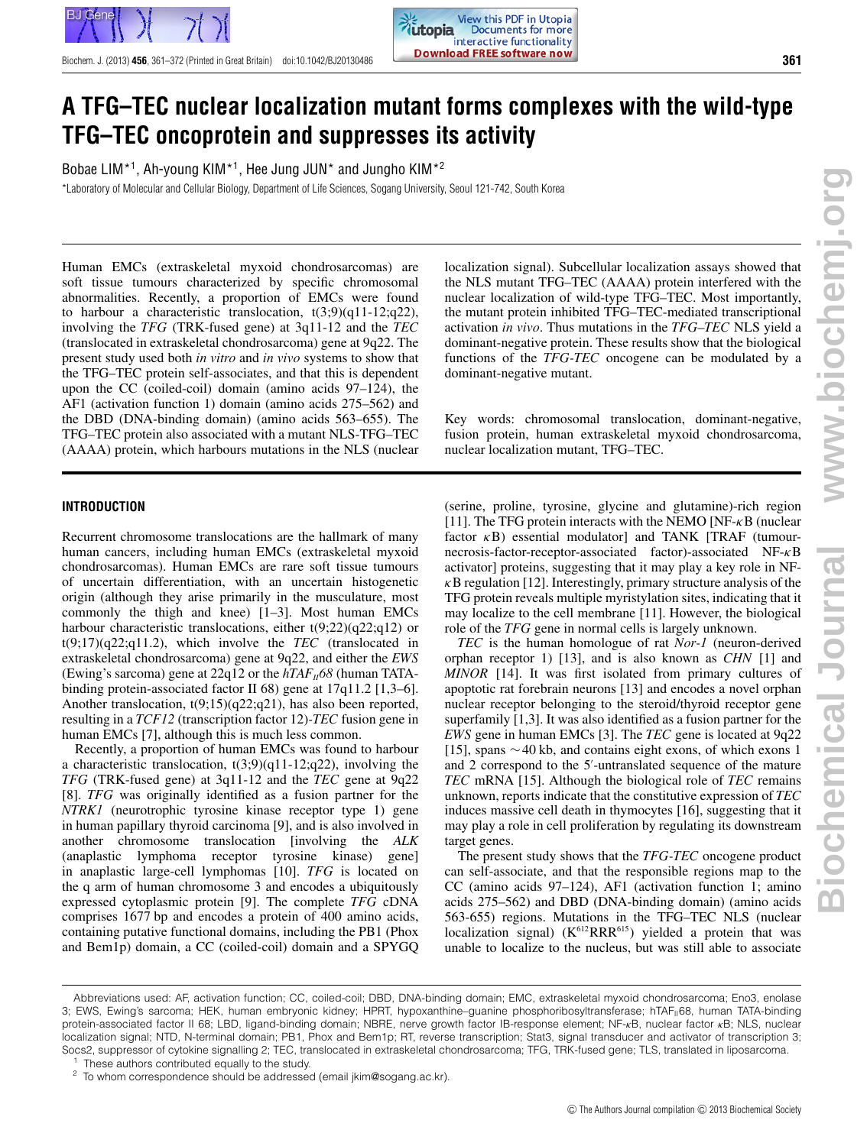

Bobae LIM[\\*1,](#page-0-0) Ah-young KIM[\\*1,](#page-0-0) Hee Jung JUN\* and Jungho KIM[\\*2](#page-0-1)

\*Laboratory of Molecular and Cellular Biology, Department of Life Sciences, Sogang University, Seoul 121-742, South Korea

Human EMCs (extraskeletal myxoid chondrosarcomas) are soft tissue tumours characterized by specific chromosomal abnormalities. Recently, a proportion of EMCs were found to harbour a characteristic translocation,  $t(3,9)(q11-12;q22)$ , involving the *TFG* (TRK-fused gene) at 3q11-12 and the *TEC* (translocated in extraskeletal chondrosarcoma) gene at 9q22. The present study used both *in vitro* and *in vivo* systems to show that the TFG–TEC protein self-associates, and that this is dependent upon the CC (coiled-coil) domain (amino acids 97–124), the AF1 (activation function 1) domain (amino acids 275–562) and the DBD (DNA-binding domain) (amino acids 563–655). The TFG–TEC protein also associated with a mutant NLS-TFG–TEC (AAAA) protein, which harbours mutations in the NLS (nuclear

# **INTRODUCTION**

Recurrent chromosome translocations are the hallmark of many human cancers, including human EMCs (extraskeletal myxoid chondrosarcomas). Human EMCs are rare soft tissue tumours of uncertain differentiation, with an uncertain histogenetic origin (although they arise primarily in the musculature, most commonly the thigh and knee) [\[1–](#page-10-0)[3\]](#page-10-1). Most human EMCs harbour characteristic translocations, either t(9;22)(q22;q12) or t(9;17)(q22;q11.2), which involve the *TEC* (translocated in extraskeletal chondrosarcoma) gene at 9q22, and either the *EWS* (Ewing's sarcoma) gene at  $22q12$  or the  $hTAF<sub>II</sub>68$  (human TATAbinding protein-associated factor II 68) gene at 17q11.2 [\[1,](#page-10-0)[3](#page-10-1)[–6\]](#page-10-2). Another translocation, t(9;15)(q22;q21), has also been reported, resulting in a *TCF12* (transcription factor 12)*-TEC* fusion gene in human EMCs [\[7\]](#page-10-3), although this is much less common.

Recently, a proportion of human EMCs was found to harbour a characteristic translocation, t(3;9)(q11-12;q22), involving the *TFG* (TRK-fused gene) at 3q11-12 and the *TEC* gene at 9q22 [\[8\]](#page-10-4). *TFG* was originally identified as a fusion partner for the *NTRK1* (neurotrophic tyrosine kinase receptor type 1) gene in human papillary thyroid carcinoma [\[9\]](#page-10-5), and is also involved in another chromosome translocation [involving the *ALK* (anaplastic lymphoma receptor tyrosine kinase) gene] in anaplastic large-cell lymphomas [\[10\]](#page-10-6). *TFG* is located on the q arm of human chromosome 3 and encodes a ubiquitously expressed cytoplasmic protein [\[9\]](#page-10-5). The complete *TFG* cDNA comprises 1677 bp and encodes a protein of 400 amino acids, containing putative functional domains, including the PB1 (Phox and Bem1p) domain, a CC (coiled-coil) domain and a SPYGQ localization signal). Subcellular localization assays showed that the NLS mutant TFG–TEC (AAAA) protein interfered with the nuclear localization of wild-type TFG–TEC. Most importantly, the mutant protein inhibited TFG–TEC-mediated transcriptional activation *in vivo*. Thus mutations in the *TFG–TEC* NLS yield a dominant-negative protein. These results show that the biological functions of the *TFG-TEC* oncogene can be modulated by a dominant-negative mutant.

Key words: chromosomal translocation, dominant-negative, fusion protein, human extraskeletal myxoid chondrosarcoma, nuclear localization mutant, TFG–TEC.

(serine, proline, tyrosine, glycine and glutamine)-rich region [\[11\]](#page-10-7). The TFG protein interacts with the NEMO [NF- $\kappa$ B (nuclear factor  $\kappa$ B) essential modulator and TANK [TRAF (tumournecrosis-factor-receptor-associated factor)-associated NF-κB activator] proteins, suggesting that it may play a key role in NF- $\kappa$ B regulation [\[12\]](#page-10-8). Interestingly, primary structure analysis of the TFG protein reveals multiple myristylation sites, indicating that it may localize to the cell membrane [\[11\]](#page-10-7). However, the biological role of the *TFG* gene in normal cells is largely unknown.

*TEC* is the human homologue of rat *Nor-1* (neuron-derived orphan receptor 1) [\[13\]](#page-10-9), and is also known as *CHN* [\[1\]](#page-10-0) and *MINOR* [\[14\]](#page-10-10). It was first isolated from primary cultures of apoptotic rat forebrain neurons [\[13\]](#page-10-9) and encodes a novel orphan nuclear receptor belonging to the steroid/thyroid receptor gene superfamily [\[1,](#page-10-0)[3\]](#page-10-1). It was also identified as a fusion partner for the *EWS* gene in human EMCs [\[3\]](#page-10-1). The *TEC* gene is located at 9q22 [\[15\]](#page-11-0), spans ∼40 kb, and contains eight exons, of which exons 1 and 2 correspond to the 5 -untranslated sequence of the mature *TEC* mRNA [\[15\]](#page-11-0). Although the biological role of *TEC* remains unknown, reports indicate that the constitutive expression of *TEC* induces massive cell death in thymocytes [\[16\]](#page-11-1), suggesting that it may play a role in cell proliferation by regulating its downstream target genes.

<span id="page-0-0"></span>The present study shows that the *TFG-TEC* oncogene product can self-associate, and that the responsible regions map to the CC (amino acids 97–124), AF1 (activation function 1; amino acids 275–562) and DBD (DNA-binding domain) (amino acids 563-655) regions. Mutations in the TFG–TEC NLS (nuclear localization signal)  $(K^{612}RRR^{615})$  yielded a protein that was unable to localize to the nucleus, but was still able to associate

Abbreviations used: AF, activation function; CC, coiled-coil; DBD, DNA-binding domain; EMC, extraskeletal myxoid chondrosarcoma; Eno3, enolase 3; EWS, Ewing's sarcoma; HEK, human embryonic kidney; HPRT, hypoxanthine-guanine phosphoribosyltransferase; hTAF<sub>II</sub>68, human TATA-binding protein-associated factor II 68; LBD, ligand-binding domain; NBRE, nerve growth factor IB-response element; NF-*κ*B, nuclear factor *κ*B; NLS, nuclear localization signal; NTD, N-terminal domain; PB1, Phox and Bem1p; RT, reverse transcription; Stat3, signal transducer and activator of transcription 3; Socs2, suppressor of cytokine signalling 2; TEC, translocated in extraskeletal chondrosarcoma; TFG, TRK-fused gene; TLS, translated in liposarcoma.

<span id="page-0-1"></span>These authors contributed equally to the study.

To whom correspondence should be addressed (email jkim@sogang.ac.kr).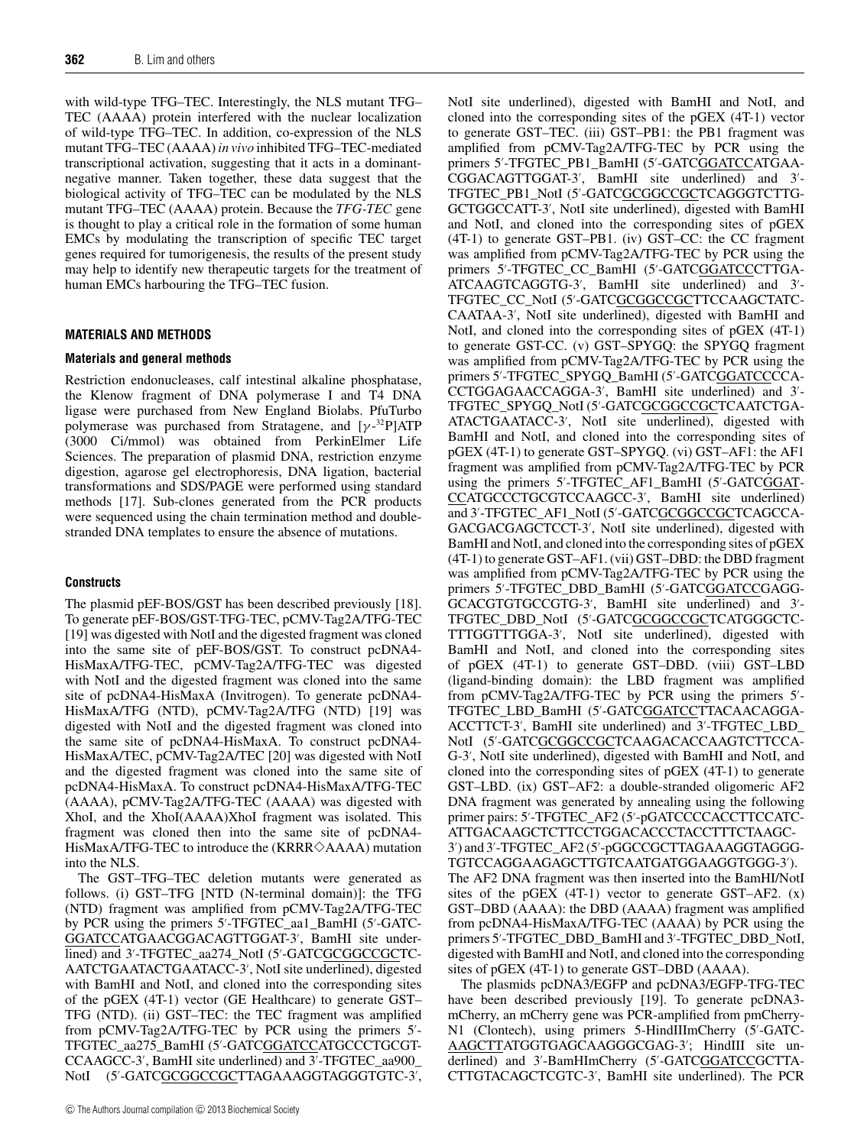with wild-type TFG–TEC. Interestingly, the NLS mutant TFG– TEC (AAAA) protein interfered with the nuclear localization of wild-type TFG–TEC. In addition, co-expression of the NLS mutant TFG–TEC (AAAA) *in vivo* inhibited TFG–TEC-mediated transcriptional activation, suggesting that it acts in a dominantnegative manner. Taken together, these data suggest that the biological activity of TFG–TEC can be modulated by the NLS mutant TFG–TEC (AAAA) protein. Because the *TFG-TEC* gene is thought to play a critical role in the formation of some human EMCs by modulating the transcription of specific TEC target genes required for tumorigenesis, the results of the present study may help to identify new therapeutic targets for the treatment of human EMCs harbouring the TFG–TEC fusion.

#### **MATERIALS AND METHODS**

#### **Materials and general methods**

Restriction endonucleases, calf intestinal alkaline phosphatase, the Klenow fragment of DNA polymerase I and T4 DNA ligase were purchased from New England Biolabs. PfuTurbo polymerase was purchased from Stratagene, and  $[\gamma^{-32}P]ATP$ (3000 Ci/mmol) was obtained from PerkinElmer Life Sciences. The preparation of plasmid DNA, restriction enzyme digestion, agarose gel electrophoresis, DNA ligation, bacterial transformations and SDS/PAGE were performed using standard methods [\[17\]](#page-11-2). Sub-clones generated from the PCR products were sequenced using the chain termination method and doublestranded DNA templates to ensure the absence of mutations.

#### **Constructs**

The plasmid pEF-BOS/GST has been described previously [\[18\]](#page-11-3). To generate pEF-BOS/GST-TFG-TEC, pCMV-Tag2A/TFG-TEC [\[19\]](#page-11-4) was digested with NotI and the digested fragment was cloned into the same site of pEF-BOS/GST. To construct pcDNA4- HisMaxA/TFG-TEC, pCMV-Tag2A/TFG-TEC was digested with NotI and the digested fragment was cloned into the same site of pcDNA4-HisMaxA (Invitrogen). To generate pcDNA4- HisMaxA/TFG (NTD), pCMV-Tag2A/TFG (NTD) [\[19\]](#page-11-4) was digested with NotI and the digested fragment was cloned into the same site of pcDNA4-HisMaxA. To construct pcDNA4- HisMaxA/TEC, pCMV-Tag2A/TEC [\[20\]](#page-11-5) was digested with NotI and the digested fragment was cloned into the same site of pcDNA4-HisMaxA. To construct pcDNA4-HisMaxA/TFG-TEC (AAAA), pCMV-Tag2A/TFG-TEC (AAAA) was digested with XhoI, and the XhoI(AAAA)XhoI fragment was isolated. This fragment was cloned then into the same site of pcDNA4- HisMaxA/TFG-TEC to introduce the (KRRR $\diamondsuit$ AAAA) mutation into the NLS.

The GST–TFG–TEC deletion mutants were generated as follows. (i) GST–TFG [NTD (N-terminal domain)]: the TFG (NTD) fragment was amplified from pCMV-Tag2A/TFG-TEC by PCR using the primers 5 -TFGTEC\_aa1\_BamHI (5 -GATC-GGATCCATGAACGGACAGTTGGAT-3 , BamHI site underlined) and 3'-TFGTEC\_aa274\_NotI (5'-GATC<u>GCGGCCGC</u>TC-AATCTGAATACTGAATACC-3 , NotI site underlined), digested with BamHI and NotI, and cloned into the corresponding sites of the pGEX (4T-1) vector (GE Healthcare) to generate GST– TFG (NTD). (ii) GST–TEC: the TEC fragment was amplified from pCMV-Tag2A/TFG-TEC by PCR using the primers 5 - TFGTEC\_aa275\_BamHI (5 -GATCGGATCCATGCCCTGCGT-CCAAGCC-3 , BamHI site underlined) and 3 -TFGTEC\_aa900\_ NotI (5'-GATC<u>GCGGCCGC</u>TTAGAAAGGTAGGGTGTC-3',

C The Authors Journal compilation C 2013 Biochemical Society

NotI site underlined), digested with BamHI and NotI, and cloned into the corresponding sites of the pGEX (4T-1) vector to generate GST–TEC. (iii) GST–PB1: the PB1 fragment was amplified from pCMV-Tag2A/TFG-TEC by PCR using the primers 5'-TFGTEC\_PB1\_BamHI (5'-GATC<u>GGATCC</u>ATGAA-CGGACAGTTGGAT-3 , BamHI site underlined) and 3 - TFGTEC\_PB1\_NotI (5'-GATC<u>GCGGCCGC</u>TCAGGGTCTTG-GCTGGCCATT-3 , NotI site underlined), digested with BamHI and NotI, and cloned into the corresponding sites of pGEX (4T-1) to generate GST–PB1. (iv) GST–CC: the CC fragment was amplified from pCMV-Tag2A/TFG-TEC by PCR using the primers 5'-TFGTEC\_CC\_BamHI (5'-GATC<u>GGATCC</u>CTTGA-ATCAAGTCAGGTG-3 , BamHI site underlined) and 3 - TFGTEC\_CC\_NotI (5'-GATC<u>GCGGCCGC</u>TTCCAAGCTATC-CAATAA-3 , NotI site underlined), digested with BamHI and NotI, and cloned into the corresponding sites of pGEX (4T-1) to generate GST-CC. (v) GST–SPYGQ: the SPYGQ fragment was amplified from pCMV-Tag2A/TFG-TEC by PCR using the primers 5'-TFGTEC\_SPYGQ\_BamHI (5'-GATC<u>GGATCC</u>CCA-CCTGGAGAACCAGGA-3 , BamHI site underlined) and 3 - TFGTEC\_SPYGQ\_NotI (5'-GATC<u>GCGGCCGC</u>TCAATCTGA-ATACTGAATACC-3 , NotI site underlined), digested with BamHI and NotI, and cloned into the corresponding sites of pGEX (4T-1) to generate GST–SPYGQ. (vi) GST–AF1: the AF1 fragment was amplified from pCMV-Tag2A/TFG-TEC by PCR using the primers 5'-TFGTEC\_AF1\_BamHI (5'-GATCGGAT-CCATGCCCTGCGTCCAAGCC-3 , BamHI site underlined) and 3'-TFGTEC\_AF1\_NotI (5'-GATC<u>GCGGCCGC</u>TCAGCCA-GACGACGAGCTCCT-3 , NotI site underlined), digested with BamHI and NotI, and cloned into the corresponding sites of pGEX (4T-1) to generate GST–AF1. (vii) GST–DBD: the DBD fragment was amplified from pCMV-Tag2A/TFG-TEC by PCR using the primers 5'-TFGTEC\_DBD\_BamHI (5'-GATCGGATCCGAGG-GCACGTGTGCCGTG-3 , BamHI site underlined) and 3 - TFGTEC\_DBD\_NotI (5'-GATC<u>GCGGCCGC</u>TCATGGGCTC-TTTGGTTTGGA-3 , NotI site underlined), digested with BamHI and NotI, and cloned into the corresponding sites of pGEX (4T-1) to generate GST–DBD. (viii) GST–LBD (ligand-binding domain): the LBD fragment was amplified from pCMV-Tag2A/TFG-TEC by PCR using the primers 5 - TFGTEC\_LBD\_BamHI (5'-GATC<u>GGATCC</u>TTACAACAGGA-ACCTTCT-3 , BamHI site underlined) and 3 -TFGTEC\_LBD\_ NotI (5'-GATC<u>GCGGCCGC</u>TCAAGACACCAAGTCTTCCA-G-3 , NotI site underlined), digested with BamHI and NotI, and cloned into the corresponding sites of pGEX (4T-1) to generate GST–LBD. (ix) GST–AF2: a double-stranded oligomeric AF2 DNA fragment was generated by annealing using the following primer pairs: 5'-TFGTEC\_AF2 (5'-pGATCCCCACCTTCCATC-ATTGACAAGCTCTTCCTGGACACCCTACCTTTCTAAGC-3 ) and 3 -TFGTEC\_AF2 (5 -pGGCCGCTTAGAAAGGTAGGG-TGTCCAGGAAGAGCTTGTCAATGATGGAAGGTGGG-3 ). The AF2 DNA fragment was then inserted into the BamHI/NotI sites of the  $pGEX$  (4T-1) vector to generate GST-AF2.  $(x)$ GST–DBD (AAAA): the DBD (AAAA) fragment was amplified from pcDNA4-HisMaxA/TFG-TEC (AAAA) by PCR using the primers 5 -TFGTEC\_DBD\_BamHI and 3 -TFGTEC\_DBD\_NotI, digested with BamHI and NotI, and cloned into the corresponding sites of pGEX (4T-1) to generate GST–DBD (AAAA).

The plasmids pcDNA3/EGFP and pcDNA3/EGFP-TFG-TEC have been described previously [\[19\]](#page-11-4). To generate pcDNA3mCherry, an mCherry gene was PCR-amplified from pmCherry-N1 (Clontech), using primers 5-HindIIImCherry (5'-GATC-AAGCTTATGGTGAGCAAGGGCGAG-3 ; HindIII site underlined) and 3'-BamHImCherry (5'-GATCGGATCCGCTTA-CTTGTACAGCTCGTC-3 , BamHI site underlined). The PCR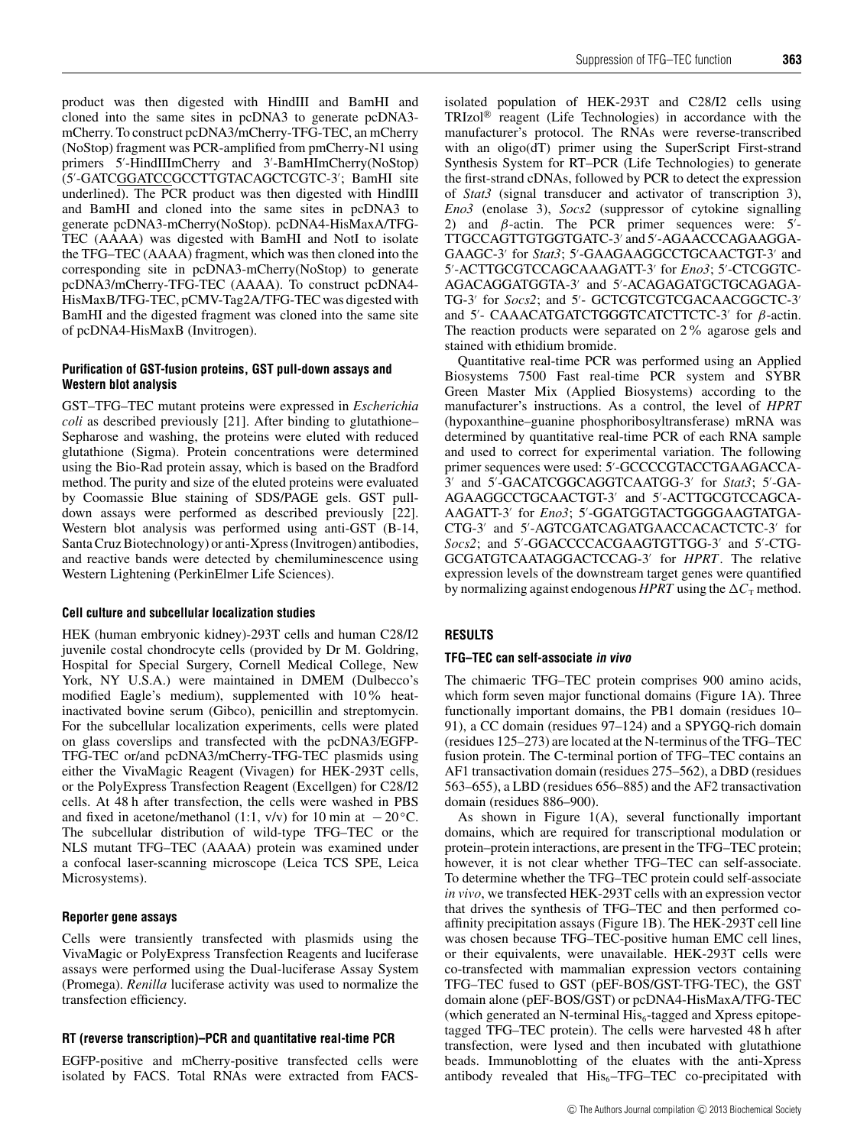product was then digested with HindIII and BamHI and cloned into the same sites in pcDNA3 to generate pcDNA3 mCherry. To construct pcDNA3/mCherry-TFG-TEC, an mCherry (NoStop) fragment was PCR-amplified from pmCherry-N1 using primers 5 -HindIIImCherry and 3 -BamHImCherry(NoStop) (5'-GATC<u>GGATCC</u>GCCTTGTACAGCTCGTC-3'; BamHI site underlined). The PCR product was then digested with HindIII and BamHI and cloned into the same sites in pcDNA3 to generate pcDNA3-mCherry(NoStop). pcDNA4-HisMaxA/TFG-TEC (AAAA) was digested with BamHI and NotI to isolate the TFG–TEC (AAAA) fragment, which was then cloned into the corresponding site in pcDNA3-mCherry(NoStop) to generate pcDNA3/mCherry-TFG-TEC (AAAA). To construct pcDNA4- HisMaxB/TFG-TEC, pCMV-Tag2A/TFG-TEC was digested with BamHI and the digested fragment was cloned into the same site of pcDNA4-HisMaxB (Invitrogen).

# **Purification of GST-fusion proteins, GST pull-down assays and Western blot analysis**

GST–TFG–TEC mutant proteins were expressed in *Escherichia coli* as described previously [\[21\]](#page-11-6). After binding to glutathione– Sepharose and washing, the proteins were eluted with reduced glutathione (Sigma). Protein concentrations were determined using the Bio-Rad protein assay, which is based on the Bradford method. The purity and size of the eluted proteins were evaluated by Coomassie Blue staining of SDS/PAGE gels. GST pulldown assays were performed as described previously [\[22\]](#page-11-7). Western blot analysis was performed using anti-GST (B-14, Santa Cruz Biotechnology) or anti-Xpress (Invitrogen) antibodies, and reactive bands were detected by chemiluminescence using Western Lightening (PerkinElmer Life Sciences).

### **Cell culture and subcellular localization studies**

HEK (human embryonic kidney)-293T cells and human C28/I2 juvenile costal chondrocyte cells (provided by Dr M. Goldring, Hospital for Special Surgery, Cornell Medical College, New York, NY U.S.A.) were maintained in DMEM (Dulbecco's modified Eagle's medium), supplemented with 10% heatinactivated bovine serum (Gibco), penicillin and streptomycin. For the subcellular localization experiments, cells were plated on glass coverslips and transfected with the pcDNA3/EGFP-TFG-TEC or/and pcDNA3/mCherry-TFG-TEC plasmids using either the VivaMagic Reagent (Vivagen) for HEK-293T cells, or the PolyExpress Transfection Reagent (Excellgen) for C28/I2 cells. At 48 h after transfection, the cells were washed in PBS and fixed in acetone/methanol (1:1, v/v) for 10 min at  $-20^\circ$ C. The subcellular distribution of wild-type TFG–TEC or the NLS mutant TFG–TEC (AAAA) protein was examined under a confocal laser-scanning microscope (Leica TCS SPE, Leica Microsystems).

### **Reporter gene assays**

Cells were transiently transfected with plasmids using the VivaMagic or PolyExpress Transfection Reagents and luciferase assays were performed using the Dual-luciferase Assay System (Promega). *Renilla* luciferase activity was used to normalize the transfection efficiency.

# **RT (reverse transcription)–PCR and quantitative real-time PCR**

EGFP-positive and mCherry-positive transfected cells were isolated by FACS. Total RNAs were extracted from FACS- isolated population of HEK-293T and C28/I2 cells using TRIzol® reagent (Life Technologies) in accordance with the manufacturer's protocol. The RNAs were reverse-transcribed with an oligo(dT) primer using the SuperScript First-strand Synthesis System for RT–PCR (Life Technologies) to generate the first-strand cDNAs, followed by PCR to detect the expression of *Stat3* (signal transducer and activator of transcription 3), *Eno3* (enolase 3), *Socs2* (suppressor of cytokine signalling 2) and  $β$ -actin. The PCR primer sequences were:  $5'$ -TTGCCAGTTGTGGTGATC-3 and 5 -AGAACCCAGAAGGA-GAAGC-3' for *Stat3*; 5'-GAAGAAGGCCTGCAACTGT-3' and 5'-ACTTGCGTCCAGCAAAGATT-3' for *Eno3*; 5'-CTCGGTC-AGACAGGATGGTA-3' and 5'-ACAGAGATGCTGCAGAGA-TG-3' for *Socs2*; and 5'- GCTCGTCGTCGACAACGGCTC-3 and 5'- CAAACATGATCTGGGTCATCTTCTC-3' for  $\beta$ -actin. The reaction products were separated on 2% agarose gels and stained with ethidium bromide.

Quantitative real-time PCR was performed using an Applied Biosystems 7500 Fast real-time PCR system and SYBR Green Master Mix (Applied Biosystems) according to the manufacturer's instructions. As a control, the level of *HPRT* (hypoxanthine–guanine phosphoribosyltransferase) mRNA was determined by quantitative real-time PCR of each RNA sample and used to correct for experimental variation. The following primer sequences were used: 5 -GCCCCGTACCTGAAGACCA-3' and 5'-GACATCGGCAGGTCAATGG-3' for *Stat3*; 5'-GA-AGAAGGCCTGCAACTGT-3 and 5 -ACTTGCGTCCAGCA-AAGATT-3' for *Eno3*; 5'-GGATGGTACTGGGGAAGTATGA-CTG-3 and 5 -AGTCGATCAGATGAACCACACTCTC-3 for Socs2; and 5'-GGACCCCACGAAGTGTTGG-3' and 5'-CTG-GCGATGTCAATAGGACTCCAG-3 for *HPRT*. The relative expression levels of the downstream target genes were quantified by normalizing against endogenous *HPRT* using the  $\Delta C_T$  method.

# **RESULTS**

### **TFG–TEC can self-associate in vivo**

The chimaeric TFG–TEC protein comprises 900 amino acids, which form seven major functional domains [\(Figure 1A](#page-3-0)). Three functionally important domains, the PB1 domain (residues 10– 91), a CC domain (residues 97–124) and a SPYGQ-rich domain (residues 125–273) are located at the N-terminus of the TFG–TEC fusion protein. The C-terminal portion of TFG–TEC contains an AF1 transactivation domain (residues 275–562), a DBD (residues 563–655), a LBD (residues 656–885) and the AF2 transactivation domain (residues 886–900).

As shown in [Figure 1\(](#page-3-0)A), several functionally important domains, which are required for transcriptional modulation or protein–protein interactions, are present in the TFG–TEC protein; however, it is not clear whether TFG–TEC can self-associate. To determine whether the TFG–TEC protein could self-associate *in vivo*, we transfected HEK-293T cells with an expression vector that drives the synthesis of TFG–TEC and then performed coaffinity precipitation assays [\(Figure 1B](#page-3-0)). The HEK-293T cell line was chosen because TFG–TEC-positive human EMC cell lines, or their equivalents, were unavailable. HEK-293T cells were co-transfected with mammalian expression vectors containing TFG–TEC fused to GST (pEF-BOS/GST-TFG-TEC), the GST domain alone (pEF-BOS/GST) or pcDNA4-HisMaxA/TFG-TEC (which generated an N-terminal  $His<sub>6</sub>$ -tagged and Xpress epitopetagged TFG–TEC protein). The cells were harvested 48 h after transfection, were lysed and then incubated with glutathione beads. Immunoblotting of the eluates with the anti-Xpress antibody revealed that  $His<sub>6</sub>-TFG-TEC$  co-precipitated with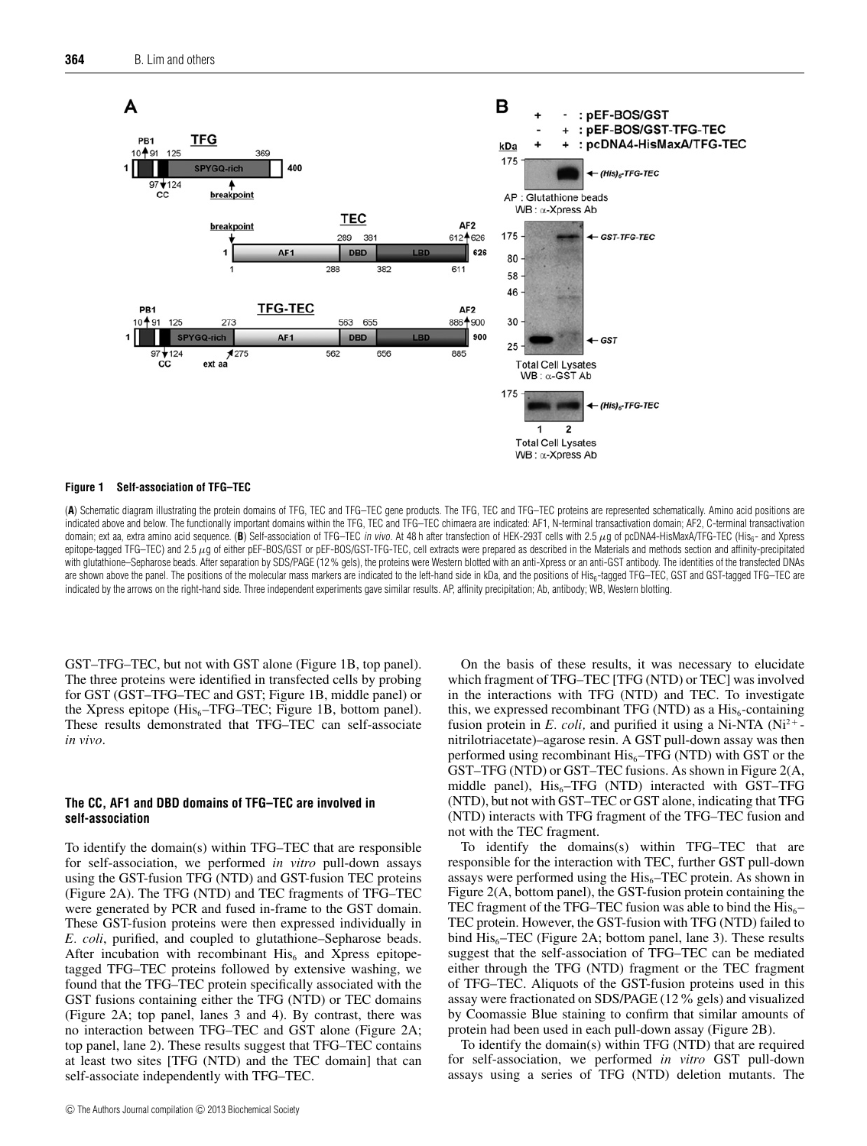<span id="page-3-0"></span>

#### **Figure 1 Self-association of TFG–TEC**

(**A**) Schematic diagram illustrating the protein domains of TFG, TEC and TFG–TEC gene products. The TFG, TEC and TFG–TEC proteins are represented schematically. Amino acid positions are indicated above and below. The functionally important domains within the TFG, TEC and TFG–TEC chimaera are indicated: AF1, N-terminal transactivation domain; AF2, C-terminal transactivation domain; ext aa, extra amino acid sequence. (B) Self-association of TFG-TEC in vivo. At 48 h after transfection of HEK-293T cells with 2.5 μg of pcDNA4-HisMaxA/TFG-TEC (His<sub>6</sub>- and Xpress epitope-tagged TFG–TEC) and 2.5  $\mu$ g of either pEF-BOS/GST or pEF-BOS/GST-TFG-TEC, cell extracts were prepared as described in the Materials and methods section and affinity-precipitated with glutathione–Sepharose beads. After separation by SDS/PAGE (12 % gels), the proteins were Western blotted with an anti-Xpress or an anti-GST antibody. The identities of the transfected DNAs are shown above the panel. The positions of the molecular mass markers are indicated to the left-hand side in kDa, and the positions of His<sub>6</sub>-tagged TFG-TEC, GST and GST-tagged TFG-TEC are indicated by the arrows on the right-hand side. Three independent experiments gave similar results. AP, affinity precipitation; Ab, antibody; WB, Western blotting.

GST–TFG–TEC, but not with GST alone [\(Figure 1B](#page-3-0), top panel). The three proteins were identified in transfected cells by probing for GST (GST–TFG–TEC and GST; [Figure 1B](#page-3-0), middle panel) or the Xpress epitope (His<sub>6</sub>–TFG–TEC; [Figure 1B](#page-3-0), bottom panel). These results demonstrated that TFG–TEC can self-associate *in vivo*.

## **The CC, AF1 and DBD domains of TFG–TEC are involved in self-association**

To identify the domain(s) within TFG–TEC that are responsible for self-association, we performed *in vitro* pull-down assays using the GST-fusion TFG (NTD) and GST-fusion TEC proteins [\(Figure 2A](#page-4-0)). The TFG (NTD) and TEC fragments of TFG–TEC were generated by PCR and fused in-frame to the GST domain. These GST-fusion proteins were then expressed individually in *E. coli*, purified, and coupled to glutathione–Sepharose beads. After incubation with recombinant  $His<sub>6</sub>$  and Xpress epitopetagged TFG–TEC proteins followed by extensive washing, we found that the TFG–TEC protein specifically associated with the GST fusions containing either the TFG (NTD) or TEC domains [\(Figure 2A](#page-4-0); top panel, lanes 3 and 4). By contrast, there was no interaction between TFG–TEC and GST alone [\(Figure 2A](#page-4-0); top panel, lane 2). These results suggest that TFG–TEC contains at least two sites [TFG (NTD) and the TEC domain] that can self-associate independently with TFG–TEC.

On the basis of these results, it was necessary to elucidate which fragment of TFG–TEC [TFG (NTD) or TEC] was involved in the interactions with TFG (NTD) and TEC. To investigate this, we expressed recombinant TFG (NTD) as a  $His<sub>6</sub>$ -containing fusion protein in *E. coli*, and purified it using a Ni-NTA ( $Ni^{2+}$ nitrilotriacetate)–agarose resin. A GST pull-down assay was then performed using recombinant  $His<sub>6</sub>-TFG (NTD)$  with GST or the GST–TFG (NTD) or GST–TEC fusions. As shown in [Figure 2\(](#page-4-0)A, middle panel),  $His<sub>6</sub>-TFG (NTD)$  interacted with GST-TFG (NTD), but not with GST–TEC or GST alone, indicating that TFG (NTD) interacts with TFG fragment of the TFG–TEC fusion and not with the TEC fragment.

To identify the domains(s) within TFG–TEC that are responsible for the interaction with TEC, further GST pull-down assays were performed using the  $His<sub>6</sub>-TEC$  protein. As shown in [Figure 2\(](#page-4-0)A, bottom panel), the GST-fusion protein containing the TEC fragment of the TFG–TEC fusion was able to bind the  $His<sub>6</sub>$ – TEC protein. However, the GST-fusion with TFG (NTD) failed to bind  $His<sub>6</sub>-TEC$  [\(Figure 2A](#page-4-0); bottom panel, lane 3). These results suggest that the self-association of TFG–TEC can be mediated either through the TFG (NTD) fragment or the TEC fragment of TFG–TEC. Aliquots of the GST-fusion proteins used in this assay were fractionated on SDS/PAGE (12% gels) and visualized by Coomassie Blue staining to confirm that similar amounts of protein had been used in each pull-down assay [\(Figure 2B](#page-4-0)).

To identify the domain(s) within TFG (NTD) that are required for self-association, we performed *in vitro* GST pull-down assays using a series of TFG (NTD) deletion mutants. The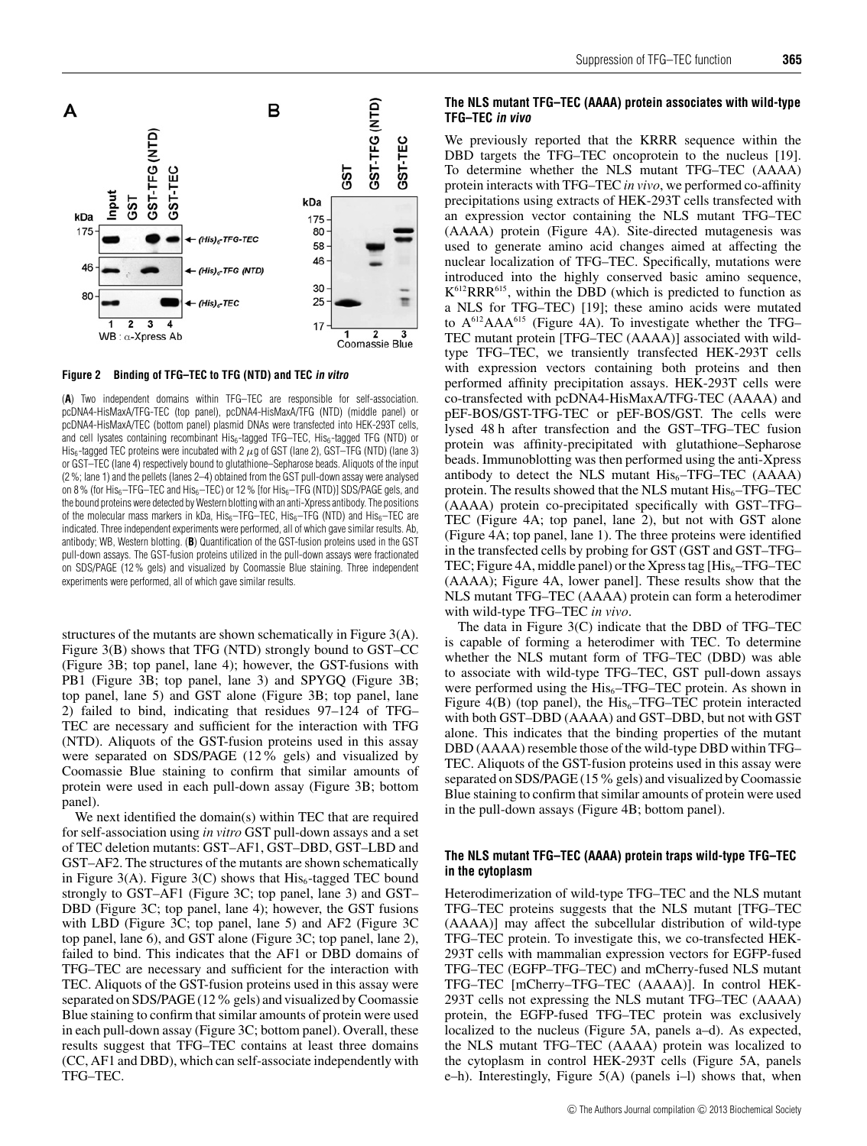<span id="page-4-0"></span>

**Figure 2 Binding of TFG–TEC to TFG (NTD) and TEC in vitro**

(**A**) Two independent domains within TFG–TEC are responsible for self-association. pcDNA4-HisMaxA/TFG-TEC (top panel), pcDNA4-HisMaxA/TFG (NTD) (middle panel) or pcDNA4-HisMaxA/TEC (bottom panel) plasmid DNAs were transfected into HEK-293T cells, and cell lysates containing recombinant  $His<sub>6</sub>$ -tagged TFG–TEC,  $His<sub>6</sub>$ -tagged TFG (NTD) or His<sub>6</sub>-tagged TEC proteins were incubated with 2  $\mu$ g of GST (lane 2), GST–TFG (NTD) (lane 3) or GST–TEC (lane 4) respectively bound to glutathione–Sepharose beads. Aliquots of the input (2 %; lane 1) and the pellets (lanes 2–4) obtained from the GST pull-down assay were analysed on 8% (for His $_6$ -TFG-TEC and His $_6$ -TEC) or 12% [for His $_6$ -TFG (NTD)] SDS/PAGE gels, and the bound proteins were detected by Western blotting with an anti-Xpress antibody. The positions of the molecular mass markers in kDa,  $His<sub>6</sub>-TFG–TEC$ ,  $His<sub>6</sub>-TFG$  (NTD) and  $His<sub>6</sub>-TEC$  are indicated. Three independent experiments were performed, all of which gave similar results. Ab, antibody; WB, Western blotting. (**B**) Quantification of the GST-fusion proteins used in the GST pull-down assays. The GST-fusion proteins utilized in the pull-down assays were fractionated on SDS/PAGE (12 % gels) and visualized by Coomassie Blue staining. Three independent experiments were performed, all of which gave similar results.

structures of the mutants are shown schematically in [Figure 3\(](#page-5-0)A). [Figure 3\(](#page-5-0)B) shows that TFG (NTD) strongly bound to GST–CC [\(Figure 3B](#page-5-0); top panel, lane 4); however, the GST-fusions with PB1 [\(Figure 3B](#page-5-0); top panel, lane 3) and SPYGQ (Figure 3B; top panel, lane 5) and GST alone [\(Figure 3B](#page-5-0); top panel, lane 2) failed to bind, indicating that residues 97–124 of TFG– TEC are necessary and sufficient for the interaction with TFG (NTD). Aliquots of the GST-fusion proteins used in this assay were separated on SDS/PAGE (12% gels) and visualized by Coomassie Blue staining to confirm that similar amounts of protein were used in each pull-down assay [\(Figure 3B](#page-5-0); bottom panel).

We next identified the domain(s) within TEC that are required for self-association using *in vitro* GST pull-down assays and a set of TEC deletion mutants: GST–AF1, GST–DBD, GST–LBD and GST–AF2. The structures of the mutants are shown schematically in [Figure 3\(](#page-5-0)A). Figure 3(C) shows that  $His<sub>6</sub>$ -tagged TEC bound strongly to GST–AF1 [\(Figure 3C](#page-5-0); top panel, lane 3) and GST– DBD [\(Figure 3C](#page-5-0); top panel, lane 4); however, the GST fusions with LBD [\(Figure 3C](#page-5-0); top panel, lane 5) and AF2 [\(Figure 3C](#page-5-0) top panel, lane 6), and GST alone [\(Figure 3C](#page-5-0); top panel, lane 2), failed to bind. This indicates that the AF1 or DBD domains of TFG–TEC are necessary and sufficient for the interaction with TEC. Aliquots of the GST-fusion proteins used in this assay were separated on SDS/PAGE (12% gels) and visualized by Coomassie Blue staining to confirm that similar amounts of protein were used in each pull-down assay [\(Figure 3C](#page-5-0); bottom panel). Overall, these results suggest that TFG–TEC contains at least three domains (CC, AF1 and DBD), which can self-associate independently with TFG–TEC.

# **The NLS mutant TFG–TEC (AAAA) protein associates with wild-type TFG–TEC in vivo**

We previously reported that the KRRR sequence within the DBD targets the TFG–TEC oncoprotein to the nucleus [\[19\]](#page-11-4). To determine whether the NLS mutant TFG–TEC (AAAA) protein interacts with TFG–TEC *in vivo*, we performed co-affinity precipitations using extracts of HEK-293T cells transfected with an expression vector containing the NLS mutant TFG–TEC (AAAA) protein [\(Figure 4A](#page-6-0)). Site-directed mutagenesis was used to generate amino acid changes aimed at affecting the nuclear localization of TFG–TEC. Specifically, mutations were introduced into the highly conserved basic amino sequence, K612RRR615, within the DBD (which is predicted to function as a NLS for TFG–TEC) [\[19\]](#page-11-4); these amino acids were mutated to A612AAA615 [\(Figure 4A](#page-6-0)). To investigate whether the TFG– TEC mutant protein [TFG–TEC (AAAA)] associated with wildtype TFG–TEC, we transiently transfected HEK-293T cells with expression vectors containing both proteins and then performed affinity precipitation assays. HEK-293T cells were co-transfected with pcDNA4-HisMaxA/TFG-TEC (AAAA) and pEF-BOS/GST-TFG-TEC or pEF-BOS/GST. The cells were lysed 48 h after transfection and the GST–TFG–TEC fusion protein was affinity-precipitated with glutathione–Sepharose beads. Immunoblotting was then performed using the anti-Xpress antibody to detect the NLS mutant  $His<sub>6</sub>-TFG-TEC$  (AAAA) protein. The results showed that the NLS mutant  $His_{6}-TFG-TEC$ (AAAA) protein co-precipitated specifically with GST–TFG– TEC [\(Figure 4A](#page-6-0); top panel, lane 2), but not with GST alone [\(Figure 4A](#page-6-0); top panel, lane 1). The three proteins were identified in the transfected cells by probing for GST (GST and GST–TFG– TEC; [Figure 4A](#page-6-0), middle panel) or the Xpress tag  $[His_{6}-TFG-TEC]$ (AAAA); [Figure 4A](#page-6-0), lower panel]. These results show that the NLS mutant TFG–TEC (AAAA) protein can form a heterodimer with wild-type TFG–TEC *in vivo*.

The data in [Figure 3\(](#page-5-0)C) indicate that the DBD of TFG–TEC is capable of forming a heterodimer with TEC. To determine whether the NLS mutant form of TFG–TEC (DBD) was able to associate with wild-type TFG–TEC, GST pull-down assays were performed using the  $His<sub>6</sub>-TFG-TEC$  protein. As shown in Figure  $4(B)$  (top panel), the His<sub>6</sub>–TFG–TEC protein interacted with both GST–DBD (AAAA) and GST–DBD, but not with GST alone. This indicates that the binding properties of the mutant DBD (AAAA) resemble those of the wild-type DBD within TFG– TEC. Aliquots of the GST-fusion proteins used in this assay were separated on SDS/PAGE (15% gels) and visualized by Coomassie Blue staining to confirm that similar amounts of protein were used in the pull-down assays [\(Figure 4B](#page-6-0); bottom panel).

#### **The NLS mutant TFG–TEC (AAAA) protein traps wild-type TFG–TEC in the cytoplasm**

Heterodimerization of wild-type TFG–TEC and the NLS mutant TFG–TEC proteins suggests that the NLS mutant [TFG–TEC (AAAA)] may affect the subcellular distribution of wild-type TFG–TEC protein. To investigate this, we co-transfected HEK-293T cells with mammalian expression vectors for EGFP-fused TFG–TEC (EGFP–TFG–TEC) and mCherry-fused NLS mutant TFG–TEC [mCherry–TFG–TEC (AAAA)]. In control HEK-293T cells not expressing the NLS mutant TFG–TEC (AAAA) protein, the EGFP-fused TFG–TEC protein was exclusively localized to the nucleus [\(Figure 5A](#page-7-0), panels a–d). As expected, the NLS mutant TFG–TEC (AAAA) protein was localized to the cytoplasm in control HEK-293T cells [\(Figure 5A](#page-7-0), panels e–h). Interestingly, [Figure 5\(](#page-7-0)A) (panels i–l) shows that, when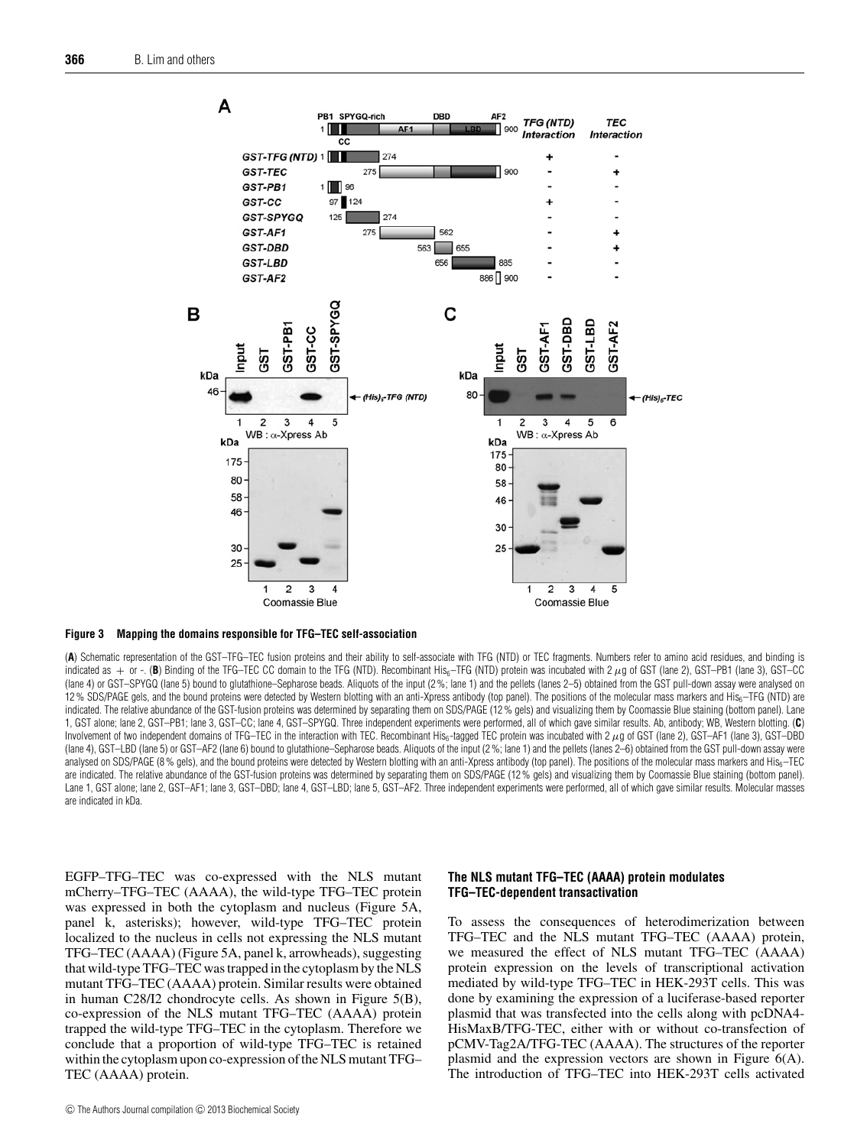<span id="page-5-0"></span>



(**A**) Schematic representation of the GST–TFG–TEC fusion proteins and their ability to self-associate with TFG (NTD) or TEC fragments. Numbers refer to amino acid residues, and binding is indicated as + or -. (B) Binding of the TFG–TEC CC domain to the TFG (NTD). Recombinant His<sub>6</sub>–TFG (NTD) protein was incubated with 2  $\mu$ g of GST (lane 2), GST–PB1 (lane 3), GST–CC (lane 4) or GST–SPYGQ (lane 5) bound to glutathione–Sepharose beads. Aliquots of the input (2 %; lane 1) and the pellets (lanes 2–5) obtained from the GST pull-down assay were analysed on 12% SDS/PAGE gels, and the bound proteins were detected by Western blotting with an anti-Xpress antibody (top panel). The positions of the molecular mass markers and His<sub>6</sub>–TFG (NTD) are indicated. The relative abundance of the GST-fusion proteins was determined by separating them on SDS/PAGE (12% gels) and visualizing them by Coomassie Blue staining (bottom panel). Lane 1, GST alone; lane 2, GST–PB1; lane 3, GST–CC; lane 4, GST–SPYGQ. Three independent experiments were performed, all of which gave similar results. Ab, antibody; WB, Western blotting. (**C**) Involvement of two independent domains of TFG–TEC in the interaction with TEC. Recombinant His<sub>6</sub>-tagged TEC protein was incubated with  $2 \mu$ g of GST (lane 2), GST–AF1 (lane 3), GST–DBD (lane 4), GST–LBD (lane 5) or GST–AF2 (lane 6) bound to glutathione–Sepharose beads. Aliquots of the input (2 %; lane 1) and the pellets (lanes 2–6) obtained from the GST pull-down assay were analysed on SDS/PAGE (8% gels), and the bound proteins were detected by Western blotting with an anti-Xpress antibody (top panel). The positions of the molecular mass markers and His<sub>6</sub>–TEC are indicated. The relative abundance of the GST-fusion proteins was determined by separating them on SDS/PAGE (12% gels) and visualizing them by Coomassie Blue staining (bottom panel). Lane 1, GST alone; lane 2, GST–AF1; lane 3, GST–DBD; lane 4, GST–LBD; lane 5, GST–AF2. Three independent experiments were performed, all of which gave similar results. Molecular masses are indicated in kDa.

EGFP–TFG–TEC was co-expressed with the NLS mutant mCherry–TFG–TEC (AAAA), the wild-type TFG–TEC protein was expressed in both the cytoplasm and nucleus [\(Figure 5A](#page-7-0), panel k, asterisks); however, wild-type TFG–TEC protein localized to the nucleus in cells not expressing the NLS mutant TFG–TEC (AAAA) [\(Figure 5A](#page-7-0), panel k, arrowheads), suggesting that wild-type TFG–TEC was trapped in the cytoplasm by the NLS mutant TFG–TEC (AAAA) protein. Similar results were obtained in human C28/I2 chondrocyte cells. As shown in [Figure 5\(](#page-7-0)B), co-expression of the NLS mutant TFG–TEC (AAAA) protein trapped the wild-type TFG–TEC in the cytoplasm. Therefore we conclude that a proportion of wild-type TFG–TEC is retained within the cytoplasm upon co-expression of the NLS mutant TFG– TEC (AAAA) protein.

## **The NLS mutant TFG–TEC (AAAA) protein modulates TFG–TEC-dependent transactivation**

To assess the consequences of heterodimerization between TFG–TEC and the NLS mutant TFG–TEC (AAAA) protein, we measured the effect of NLS mutant TFG–TEC (AAAA) protein expression on the levels of transcriptional activation mediated by wild-type TFG–TEC in HEK-293T cells. This was done by examining the expression of a luciferase-based reporter plasmid that was transfected into the cells along with pcDNA4- HisMaxB/TFG-TEC, either with or without co-transfection of pCMV-Tag2A/TFG-TEC (AAAA). The structures of the reporter plasmid and the expression vectors are shown in [Figure 6\(](#page-8-0)A). The introduction of TFG–TEC into HEK-293T cells activated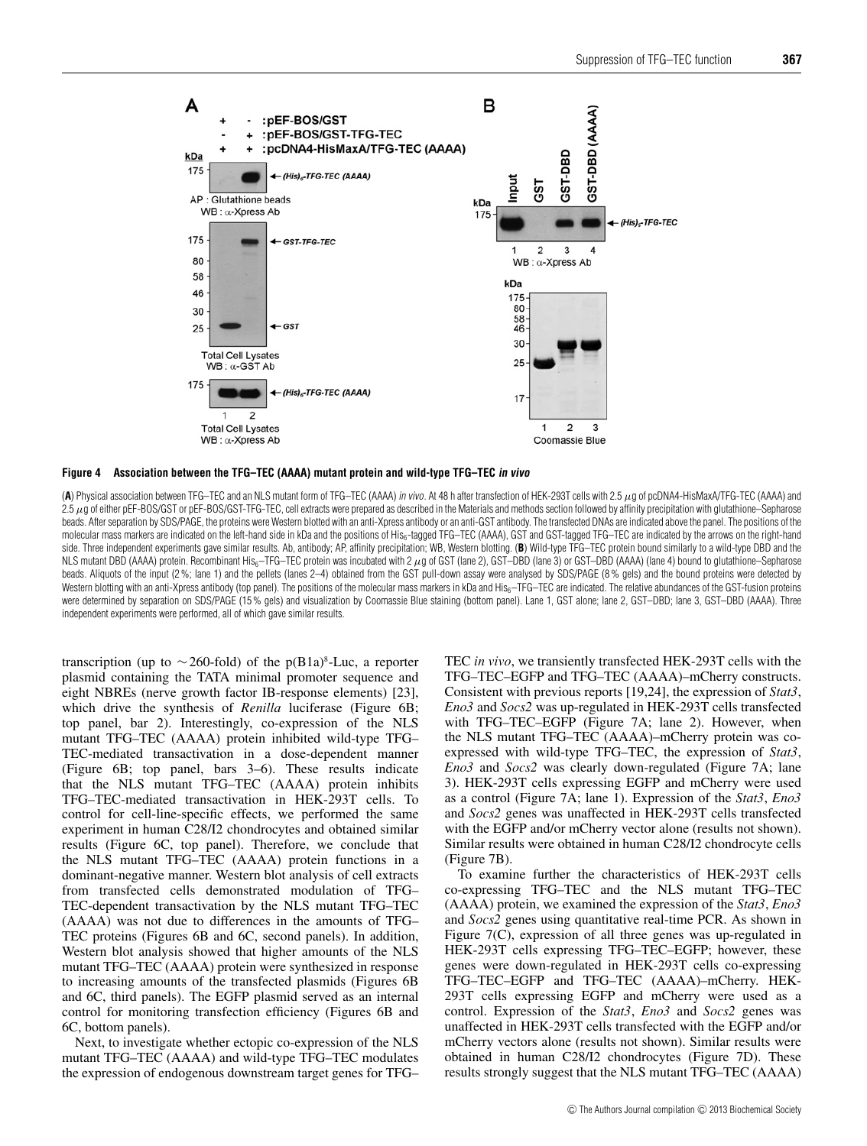<span id="page-6-0"></span>

#### **Figure 4 Association between the TFG–TEC (AAAA) mutant protein and wild-type TFG–TEC in vivo**

(**A**) Physical association between TFG–TEC and an NLS mutant form of TFG–TEC (AAAA) in vivo. At 48 h after transfection of HEK-293T cells with 2.5 μg of pcDNA4-HisMaxA/TFG-TEC (AAAA) and  $2.5\ \mu$ g of either pEF-BOS/GST or pEF-BOS/GST-TFG-TEC, cell extracts were prepared as described in the Materials and methods section followed by affinity precipitation with glutathione–Sepharose beads. After separation by SDS/PAGE, the proteins were Western blotted with an anti-Xpress antibody or an anti-GST antibody. The transfected DNAs are indicated above the panel. The positions of the molecular mass markers are indicated on the left-hand side in kDa and the positions of His<sub>6</sub>-tagged TFG–TEC (AAAA), GST and GST-tagged TFG–TEC are indicated by the arrows on the right-hand side. Three independent experiments gave similar results. Ab, antibody; AP, affinity precipitation; WB, Western blotting. (B) Wild-type TFG–TEC protein bound similarly to a wild-type DBD and the NLS mutant DBD (AAAA) protein. Recombinant His<sub>6</sub>–TFG–TEC protein was incubated with 2 μg of GST (lane 2), GST–DBD (lane 3) or GST–DBD (AAAA) (lane 4) bound to glutathione–Sepharose beads. Aliquots of the input (2%; lane 1) and the pellets (lanes 2–4) obtained from the GST pull-down assay were analysed by SDS/PAGE (8% gels) and the bound proteins were detected by Western blotting with an anti-Xpress antibody (top panel). The positions of the molecular mass markers in kDa and His<sub>6</sub>–TFG–TEC are indicated. The relative abundances of the GST-fusion proteins were determined by separation on SDS/PAGE (15% gels) and visualization by Coomassie Blue staining (bottom panel). Lane 1, GST alone; lane 2, GST-DBD; lane 3, GST-DBD (AAAA). Three independent experiments were performed, all of which gave similar results.

transcription (up to ∼260-fold) of the p(B1a)<sup>8</sup>-Luc, a reporter plasmid containing the TATA minimal promoter sequence and eight NBREs (nerve growth factor IB-response elements) [\[23\]](#page-11-8), which drive the synthesis of *Renilla* luciferase [\(Figure 6B](#page-8-0); top panel, bar 2). Interestingly, co-expression of the NLS mutant TFG–TEC (AAAA) protein inhibited wild-type TFG– TEC-mediated transactivation in a dose-dependent manner [\(Figure 6B](#page-8-0); top panel, bars 3–6). These results indicate that the NLS mutant TFG–TEC (AAAA) protein inhibits TFG–TEC-mediated transactivation in HEK-293T cells. To control for cell-line-specific effects, we performed the same experiment in human C28/I2 chondrocytes and obtained similar results [\(Figure 6C](#page-8-0), top panel). Therefore, we conclude that the NLS mutant TFG–TEC (AAAA) protein functions in a dominant-negative manner. Western blot analysis of cell extracts from transfected cells demonstrated modulation of TFG– TEC-dependent transactivation by the NLS mutant TFG–TEC (AAAA) was not due to differences in the amounts of TFG– TEC proteins [\(Figures 6B](#page-8-0) and 6C, second panels). In addition, Western blot analysis showed that higher amounts of the NLS mutant TFG–TEC (AAAA) protein were synthesized in response to increasing amounts of the transfected plasmids [\(Figures 6B](#page-8-0) and 6C, third panels). The EGFP plasmid served as an internal control for monitoring transfection efficiency [\(Figures 6B](#page-8-0) and 6C, bottom panels).

Next, to investigate whether ectopic co-expression of the NLS mutant TFG–TEC (AAAA) and wild-type TFG–TEC modulates the expression of endogenous downstream target genes for TFG– TEC *in vivo*, we transiently transfected HEK-293T cells with the TFG–TEC–EGFP and TFG–TEC (AAAA)–mCherry constructs. Consistent with previous reports [\[19,](#page-11-4)[24\]](#page-11-9), the expression of *Stat3*, *Eno3* and *Socs2* was up-regulated in HEK-293T cells transfected with TFG–TEC–EGFP [\(Figure 7A](#page-9-0); lane 2). However, when the NLS mutant TFG–TEC (AAAA)–mCherry protein was coexpressed with wild-type TFG–TEC, the expression of *Stat3*, *Eno3* and *Socs2* was clearly down-regulated [\(Figure 7A](#page-9-0); lane 3). HEK-293T cells expressing EGFP and mCherry were used as a control [\(Figure 7A](#page-9-0); lane 1). Expression of the *Stat3*, *Eno3* and *Socs2* genes was unaffected in HEK-293T cells transfected with the EGFP and/or mCherry vector alone (results not shown). Similar results were obtained in human C28/I2 chondrocyte cells [\(Figure 7B](#page-9-0)).

To examine further the characteristics of HEK-293T cells co-expressing TFG–TEC and the NLS mutant TFG–TEC (AAAA) protein, we examined the expression of the *Stat3*, *Eno3* and *Socs2* genes using quantitative real-time PCR. As shown in [Figure 7\(](#page-9-0)C), expression of all three genes was up-regulated in HEK-293T cells expressing TFG–TEC–EGFP; however, these genes were down-regulated in HEK-293T cells co-expressing TFG–TEC–EGFP and TFG–TEC (AAAA)–mCherry. HEK-293T cells expressing EGFP and mCherry were used as a control. Expression of the *Stat3*, *Eno3* and *Socs2* genes was unaffected in HEK-293T cells transfected with the EGFP and/or mCherry vectors alone (results not shown). Similar results were obtained in human C28/I2 chondrocytes [\(Figure 7D](#page-9-0)). These results strongly suggest that the NLS mutant TFG–TEC (AAAA)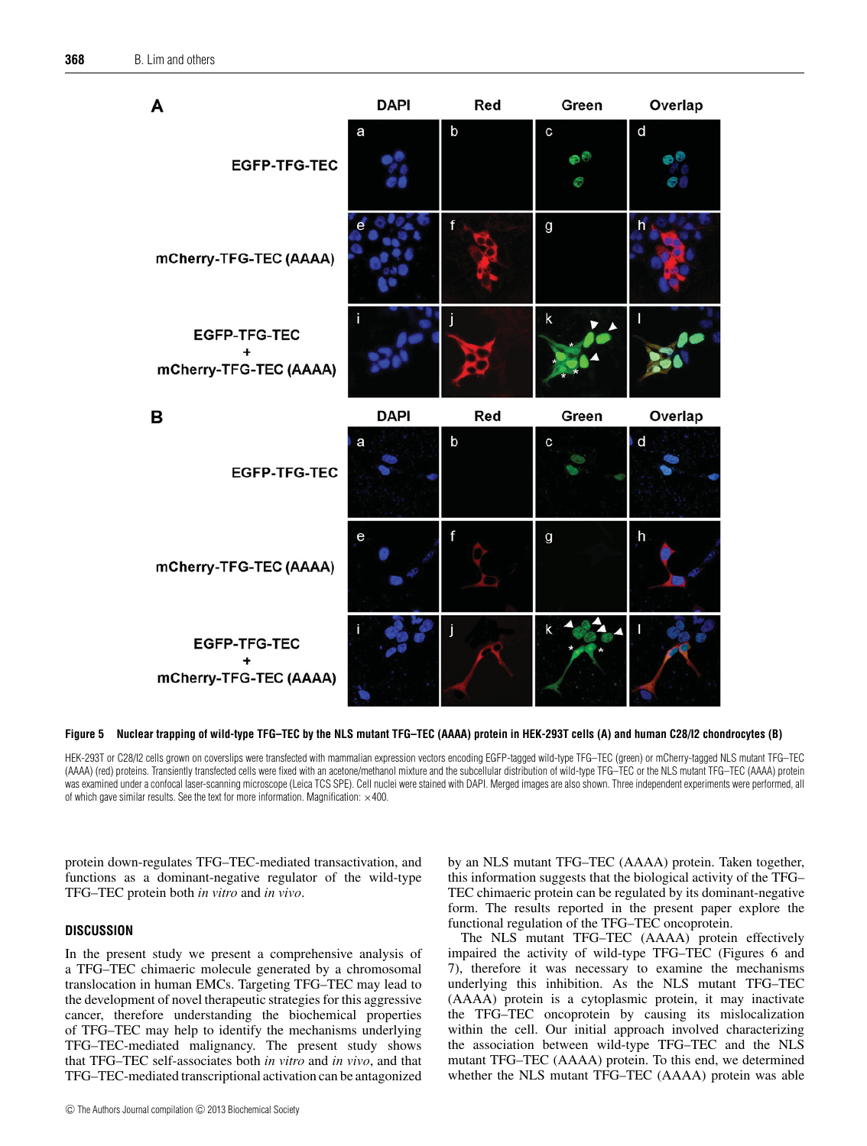<span id="page-7-0"></span>

**Figure 5 Nuclear trapping of wild-type TFG–TEC by the NLS mutant TFG–TEC (AAAA) protein in HEK-293T cells (A) and human C28/I2 chondrocytes (B)**

HEK-293T or C28/I2 cells grown on coverslips were transfected with mammalian expression vectors encoding EGFP-tagged wild-type TFG–TEC (green) or mCherry-tagged NLS mutant TFG–TEC (AAAA) (red) proteins. Transiently transfected cells were fixed with an acetone/methanol mixture and the subcellular distribution of wild-type TFG–TEC or the NLS mutant TFG–TEC (AAAA) protein was examined under a confocal laser-scanning microscope (Leica TCS SPE). Cell nuclei were stained with DAPI. Merged images are also shown. Three independent experiments were performed, all of which gave similar results. See the text for more information. Magnification:  $\times$ 400.

protein down-regulates TFG–TEC-mediated transactivation, and functions as a dominant-negative regulator of the wild-type TFG–TEC protein both *in vitro* and *in vivo*.

# **DISCUSSION**

In the present study we present a comprehensive analysis of a TFG–TEC chimaeric molecule generated by a chromosomal translocation in human EMCs. Targeting TFG–TEC may lead to the development of novel therapeutic strategies for this aggressive cancer, therefore understanding the biochemical properties of TFG–TEC may help to identify the mechanisms underlying TFG–TEC-mediated malignancy. The present study shows that TFG–TEC self-associates both *in vitro* and *in vivo*, and that TFG–TEC-mediated transcriptional activation can be antagonized

C The Authors Journal compilation C 2013 Biochemical Society

by an NLS mutant TFG–TEC (AAAA) protein. Taken together, this information suggests that the biological activity of the TFG– TEC chimaeric protein can be regulated by its dominant-negative form. The results reported in the present paper explore the functional regulation of the TFG–TEC oncoprotein.

The NLS mutant TFG–TEC (AAAA) protein effectively impaired the activity of wild-type TFG–TEC [\(Figures 6](#page-8-0) and 7), therefore it was necessary to examine the mechanisms underlying this inhibition. As the NLS mutant TFG–TEC (AAAA) protein is a cytoplasmic protein, it may inactivate the TFG–TEC oncoprotein by causing its mislocalization within the cell. Our initial approach involved characterizing the association between wild-type TFG–TEC and the NLS mutant TFG–TEC (AAAA) protein. To this end, we determined whether the NLS mutant TFG–TEC (AAAA) protein was able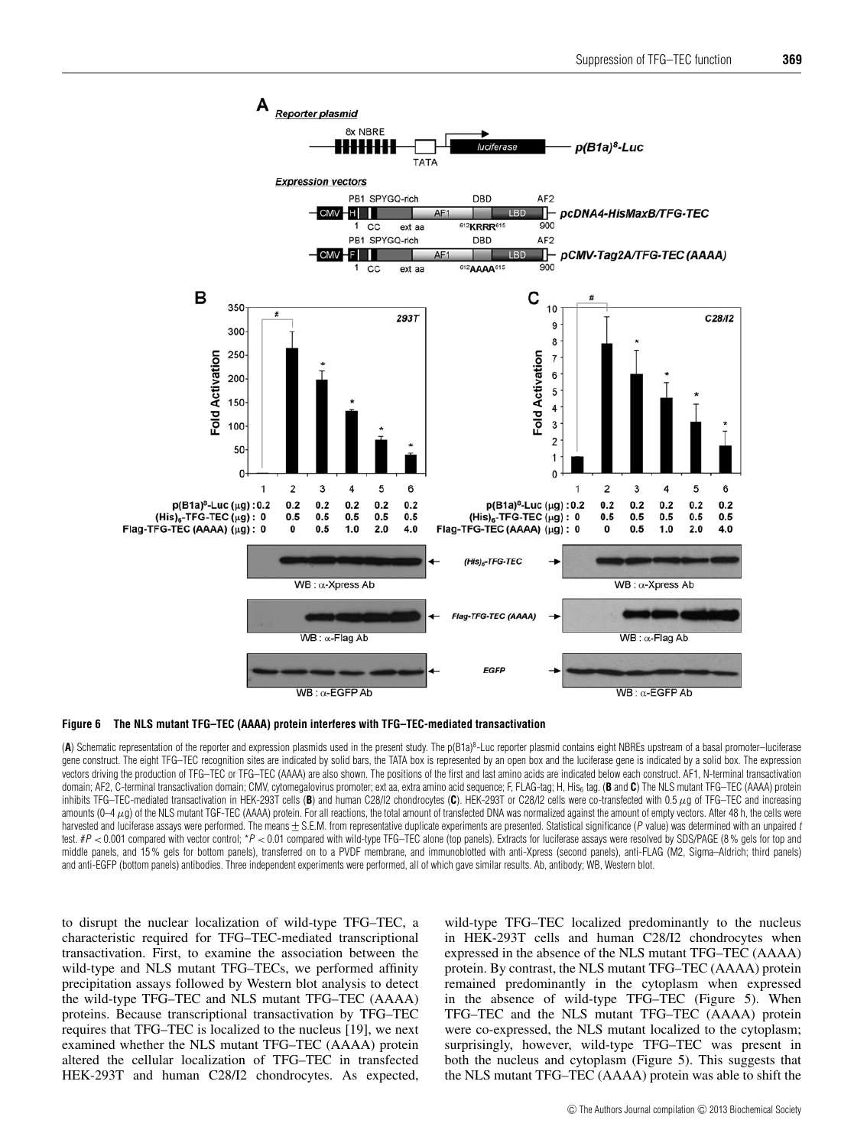<span id="page-8-0"></span>



(A) Schematic representation of the reporter and expression plasmids used in the present study. The p(B1a)<sup>8</sup>-Luc reporter plasmid contains eight NBREs upstream of a basal promoter–luciferase gene construct. The eight TFG–TEC recognition sites are indicated by solid bars, the TATA box is represented by an open box and the luciferase gene is indicated by a solid box. The expression vectors driving the production of TFG–TEC or TFG–TEC (AAAA) are also shown. The positions of the first and last amino acids are indicated below each construct. AF1, N-terminal transactivation domain; AF2, C-terminal transactivation domain; CMV, cytomegalovirus promoter; ext aa, extra amino acid sequence; F, FLAG-tag; H, His<sub>6</sub> tag. (B and C) The NLS mutant TFG–TEC (AAAA) protein inhibits TFG–TEC-mediated transactivation in HEK-293T cells (**B**) and human C28/I2 chondrocytes (**C**). HEK-293T or C28/I2 cells were co-transfected with 0.5 μg of TFG–TEC and increasing amounts  $(0-4μ)$  of the NLS mutant TGF-TEC (AAAA) protein. For all reactions, the total amount of transfected DNA was normalized against the amount of empty vectors. After 48 h, the cells were harvested and luciferase assays were performed. The means + S.E.M. from representative duplicate experiments are presented. Statistical significance (P value) was determined with an unpaired t test. #P < 0.001 compared with vector control; \*P < 0.01 compared with wild-type TFG-TEC alone (top panels). Extracts for luciferase assays were resolved by SDS/PAGE (8% gels for top and middle panels, and 15 % gels for bottom panels), transferred on to a PVDF membrane, and immunoblotted with anti-Xpress (second panels), anti-FLAG (M2, Sigma–Aldrich; third panels) and anti-EGFP (bottom panels) antibodies. Three independent experiments were performed, all of which gave similar results. Ab, antibody; WB, Western blot.

to disrupt the nuclear localization of wild-type TFG–TEC, a characteristic required for TFG–TEC-mediated transcriptional transactivation. First, to examine the association between the wild-type and NLS mutant TFG–TECs, we performed affinity precipitation assays followed by Western blot analysis to detect the wild-type TFG–TEC and NLS mutant TFG–TEC (AAAA) proteins. Because transcriptional transactivation by TFG–TEC requires that TFG–TEC is localized to the nucleus [\[19\]](#page-11-4), we next examined whether the NLS mutant TFG–TEC (AAAA) protein altered the cellular localization of TFG–TEC in transfected HEK-293T and human C28/I2 chondrocytes. As expected,

wild-type TFG–TEC localized predominantly to the nucleus in HEK-293T cells and human C28/I2 chondrocytes when expressed in the absence of the NLS mutant TFG–TEC (AAAA) protein. By contrast, the NLS mutant TFG–TEC (AAAA) protein remained predominantly in the cytoplasm when expressed in the absence of wild-type TFG–TEC [\(Figure 5\)](#page-7-0). When TFG–TEC and the NLS mutant TFG–TEC (AAAA) protein were co-expressed, the NLS mutant localized to the cytoplasm; surprisingly, however, wild-type TFG–TEC was present in both the nucleus and cytoplasm [\(Figure 5\)](#page-7-0). This suggests that the NLS mutant TFG–TEC (AAAA) protein was able to shift the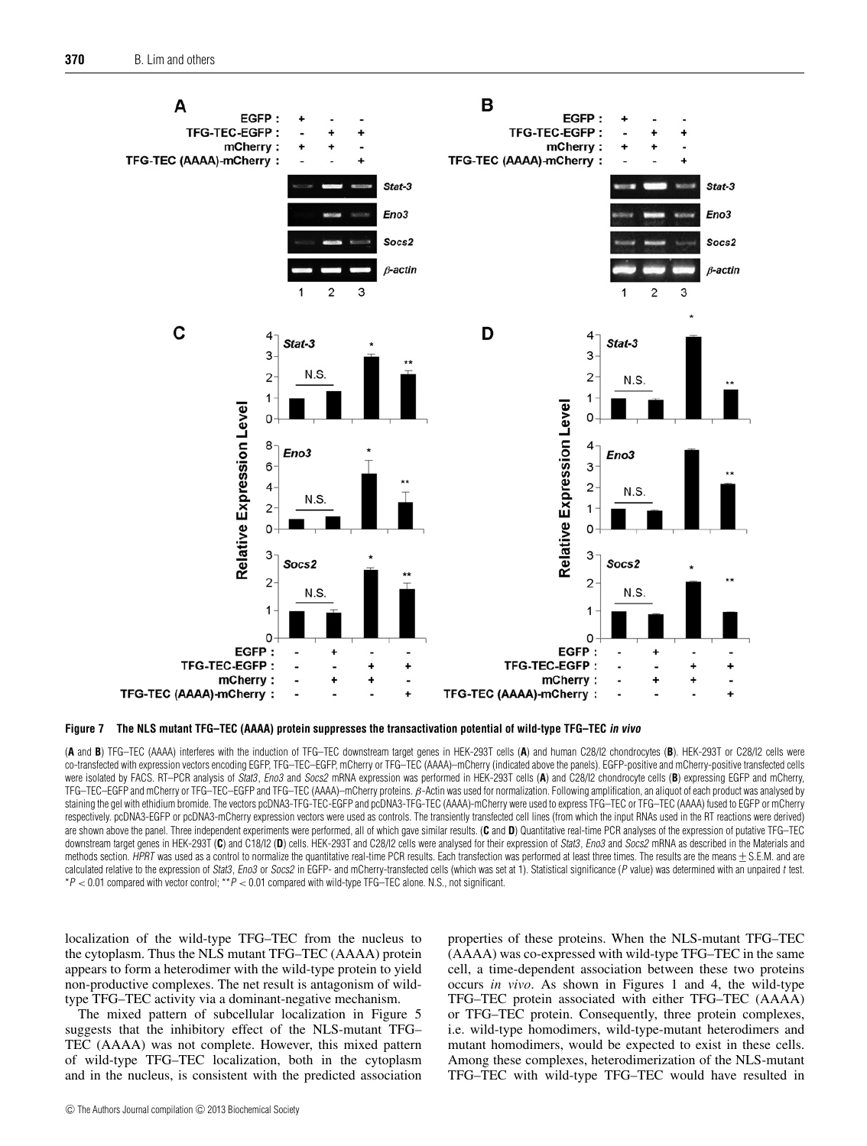<span id="page-9-0"></span>

**Figure 7 The NLS mutant TFG–TEC (AAAA) protein suppresses the transactivation potential of wild-type TFG–TEC in vivo**

(**A** and **B**) TFG–TEC (AAAA) interferes with the induction of TFG–TEC downstream target genes in HEK-293T cells (**A**) and human C28/I2 chondrocytes (**B**). HEK-293T or C28/I2 cells were co-transfected with expression vectors encoding EGFP, TFG–TEC–EGFP, mCherry or TFG–TEC (AAAA)–mCherry (indicated above the panels). EGFP-positive and mCherry-positive transfected cells were isolated by FACS. RT–PCR analysis of Stat3, Eno3 and Socs2 mRNA expression was performed in HEK-293T cells (A) and C28/I2 chondrocyte cells (B) expressing EGFP and mCherry, TFG–TEC–EGFP and mCherry or TFG–TEC–EGFP and TFG–TEC (AAAA)–mCherry proteins. β-Actin was used for normalization. Following amplification, an aliquot of each product was analysed by staining the gel with ethidium bromide. The vectors pcDNA3-TFG-TEC-EGFP and pcDNA3-TFG-TEC (AAAA)-mCherry were used to express TFG–TEC or TFG–TEC (AAAA) fused to EGFP or mCherry respectively. pcDNA3-EGFP or pcDNA3-mCherry expression vectors were used as controls. The transiently transfected cell lines (from which the input RNAs used in the RT reactions were derived) are shown above the panel. Three independent experiments were performed, all of which gave similar results. (**C** and **D**) Quantitative real-time PCR analyses of the expression of putative TFG–TEC downstream target genes in HEK-293T (C) and C18/I2 (D) cells. HEK-293T and C28/I2 cells were analysed for their expression of Stat3, Eno3 and Socs2 mRNA as described in the Materials and methods section. HPRT was used as a control to normalize the quantitative real-time PCR results. Each transfection was performed at least three times. The results are the means + S.E.M. and are calculated relative to the expression of Stat3, Eno3 or Socs2 in EGFP- and mCherry-transfected cells (which was set at 1). Statistical significance (P value) was determined with an unpaired t test.  $*P < 0.01$  compared with vector control;  $*P < 0.01$  compared with wild-type TFG–TEC alone. N.S., not significant.

localization of the wild-type TFG–TEC from the nucleus to the cytoplasm. Thus the NLS mutant TFG–TEC (AAAA) protein appears to form a heterodimer with the wild-type protein to yield non-productive complexes. The net result is antagonism of wildtype TFG–TEC activity via a dominant-negative mechanism.

The mixed pattern of subcellular localization in [Figure 5](#page-7-0) suggests that the inhibitory effect of the NLS-mutant TFG– TEC (AAAA) was not complete. However, this mixed pattern of wild-type TFG–TEC localization, both in the cytoplasm and in the nucleus, is consistent with the predicted association properties of these proteins. When the NLS-mutant TFG–TEC (AAAA) was co-expressed with wild-type TFG–TEC in the same cell, a time-dependent association between these two proteins occurs *in vivo*. As shown in [Figures 1](#page-3-0) and 4, the wild-type TFG–TEC protein associated with either TFG–TEC (AAAA) or TFG–TEC protein. Consequently, three protein complexes, i.e. wild-type homodimers, wild-type-mutant heterodimers and mutant homodimers, would be expected to exist in these cells. Among these complexes, heterodimerization of the NLS-mutant TFG–TEC with wild-type TFG–TEC would have resulted in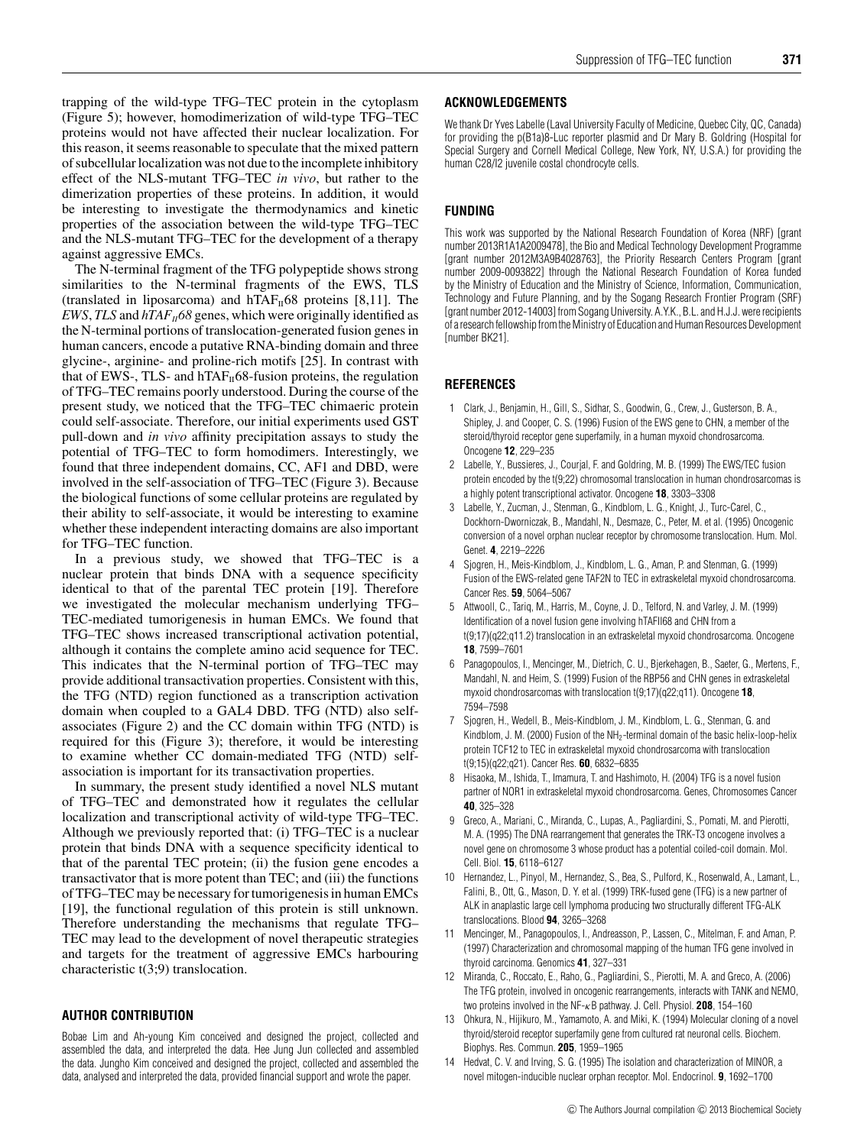trapping of the wild-type TFG–TEC protein in the cytoplasm [\(Figure 5\)](#page-7-0); however, homodimerization of wild-type TFG–TEC proteins would not have affected their nuclear localization. For this reason, it seems reasonable to speculate that the mixed pattern of subcellular localization was not due to the incomplete inhibitory effect of the NLS-mutant TFG–TEC *in vivo*, but rather to the dimerization properties of these proteins. In addition, it would be interesting to investigate the thermodynamics and kinetic properties of the association between the wild-type TFG–TEC and the NLS-mutant TFG–TEC for the development of a therapy against aggressive EMCs.

The N-terminal fragment of the TFG polypeptide shows strong similarities to the N-terminal fragments of the EWS, TLS (translated in liposarcoma) and  $hTAF<sub>II</sub>68$  proteins [\[8](#page-10-4)[,11\]](#page-10-7). The *EWS*, *TLS* and  $hTAF<sub>H</sub>68$  genes, which were originally identified as the N-terminal portions of translocation-generated fusion genes in human cancers, encode a putative RNA-binding domain and three glycine-, arginine- and proline-rich motifs [\[25\]](#page-11-10). In contrast with that of EWS-, TLS- and  $hTAF<sub>II</sub>68$ -fusion proteins, the regulation of TFG–TEC remains poorly understood. During the course of the present study, we noticed that the TFG–TEC chimaeric protein could self-associate. Therefore, our initial experiments used GST pull-down and *in vivo* affinity precipitation assays to study the potential of TFG–TEC to form homodimers. Interestingly, we found that three independent domains, CC, AF1 and DBD, were involved in the self-association of TFG–TEC [\(Figure 3\)](#page-5-0). Because the biological functions of some cellular proteins are regulated by their ability to self-associate, it would be interesting to examine whether these independent interacting domains are also important for TFG–TEC function.

In a previous study, we showed that TFG–TEC is a nuclear protein that binds DNA with a sequence specificity identical to that of the parental TEC protein [\[19\]](#page-11-4). Therefore we investigated the molecular mechanism underlying TFG– TEC-mediated tumorigenesis in human EMCs. We found that TFG–TEC shows increased transcriptional activation potential, although it contains the complete amino acid sequence for TEC. This indicates that the N-terminal portion of TFG–TEC may provide additional transactivation properties. Consistent with this, the TFG (NTD) region functioned as a transcription activation domain when coupled to a GAL4 DBD. TFG (NTD) also selfassociates [\(Figure 2\)](#page-4-0) and the CC domain within TFG (NTD) is required for this [\(Figure 3\)](#page-5-0); therefore, it would be interesting to examine whether CC domain-mediated TFG (NTD) selfassociation is important for its transactivation properties.

In summary, the present study identified a novel NLS mutant of TFG–TEC and demonstrated how it regulates the cellular localization and transcriptional activity of wild-type TFG–TEC. Although we previously reported that: (i) TFG–TEC is a nuclear protein that binds DNA with a sequence specificity identical to that of the parental TEC protein; (ii) the fusion gene encodes a transactivator that is more potent than TEC; and (iii) the functions of TFG–TEC may be necessary for tumorigenesis in human EMCs [\[19\]](#page-11-4), the functional regulation of this protein is still unknown. Therefore understanding the mechanisms that regulate TFG– TEC may lead to the development of novel therapeutic strategies and targets for the treatment of aggressive EMCs harbouring characteristic t(3;9) translocation.

## **AUTHOR CONTRIBUTION**

Bobae Lim and Ah-young Kim conceived and designed the project, collected and assembled the data, and interpreted the data. Hee Jung Jun collected and assembled the data. Jungho Kim conceived and designed the project, collected and assembled the data, analysed and interpreted the data, provided financial support and wrote the paper.

## **ACKNOWLEDGEMENTS**

We thank Dr Yves Labelle (Laval University Faculty of Medicine, Quebec City, QC, Canada) for providing the p(B1a)8-Luc reporter plasmid and Dr Mary B. Goldring (Hospital for Special Surgery and Cornell Medical College, New York, NY, U.S.A.) for providing the human C28/I2 juvenile costal chondrocyte cells.

### **FUNDING**

This work was supported by the National Research Foundation of Korea (NRF) [grant number 2013R1A1A2009478], the Bio and Medical Technology Development Programme [grant number 2012M3A9B4028763], the Priority Research Centers Program [grant number 2009-0093822] through the National Research Foundation of Korea funded by the Ministry of Education and the Ministry of Science, Information, Communication, Technology and Future Planning, and by the Sogang Research Frontier Program (SRF) [grant number 2012-14003] from Sogang University. A.Y.K., B.L. and H.J.J. were recipients of a research fellowship from the Ministry of Education and Human Resources Development [number BK21].

#### **REFERENCES**

- <span id="page-10-0"></span>1 Clark, J., Benjamin, H., Gill, S., Sidhar, S., Goodwin, G., Crew, J., Gusterson, B. A., Shipley, J. and Cooper, C. S. (1996) Fusion of the EWS gene to CHN, a member of the steroid/thyroid receptor gene superfamily, in a human myxoid chondrosarcoma. Oncogene **12**, 229–235
- 2 Labelle, Y., Bussieres, J., Courjal, F. and Goldring, M. B. (1999) The EWS/TEC fusion protein encoded by the t(9;22) chromosomal translocation in human chondrosarcomas is a highly potent transcriptional activator. Oncogene **18**, 3303–3308
- <span id="page-10-1"></span>3 Labelle, Y., Zucman, J., Stenman, G., Kindblom, L. G., Knight, J., Turc-Carel, C., Dockhorn-Dworniczak, B., Mandahl, N., Desmaze, C., Peter, M. et al. (1995) Oncogenic conversion of a novel orphan nuclear receptor by chromosome translocation. Hum. Mol. Genet. **4**, 2219–2226
- 4 Sjogren, H., Meis-Kindblom, J., Kindblom, L. G., Aman, P. and Stenman, G. (1999) Fusion of the EWS-related gene TAF2N to TEC in extraskeletal myxoid chondrosarcoma. Cancer Res. **59**, 5064–5067
- 5 Attwooll, C., Tariq, M., Harris, M., Coyne, J. D., Telford, N. and Varley, J. M. (1999) Identification of a novel fusion gene involving hTAFII68 and CHN from a t(9;17)(q22;q11.2) translocation in an extraskeletal myxoid chondrosarcoma. Oncogene **18**, 7599–7601
- <span id="page-10-2"></span>6 Panagopoulos, I., Mencinger, M., Dietrich, C. U., Bjerkehagen, B., Saeter, G., Mertens, F., Mandahl, N. and Heim, S. (1999) Fusion of the RBP56 and CHN genes in extraskeletal myxoid chondrosarcomas with translocation t(9;17)(q22;q11). Oncogene **18**, 7594–7598
- <span id="page-10-3"></span>7 Sjogren, H., Wedell, B., Meis-Kindblom, J. M., Kindblom, L. G., Stenman, G. and Kindblom, J. M. (2000) Fusion of the  $NH<sub>2</sub>$ -terminal domain of the basic helix-loop-helix protein TCF12 to TEC in extraskeletal myxoid chondrosarcoma with translocation t(9;15)(q22;q21). Cancer Res. **60**, 6832–6835
- <span id="page-10-4"></span>8 Hisaoka, M., Ishida, T., Imamura, T. and Hashimoto, H. (2004) TFG is a novel fusion partner of NOR1 in extraskeletal myxoid chondrosarcoma. Genes, Chromosomes Cancer **40**, 325–328
- <span id="page-10-5"></span>9 Greco, A., Mariani, C., Miranda, C., Lupas, A., Pagliardini, S., Pomati, M. and Pierotti, M. A. (1995) The DNA rearrangement that generates the TRK-T3 oncogene involves a novel gene on chromosome 3 whose product has a potential coiled-coil domain. Mol. Cell. Biol. **15**, 6118–6127
- <span id="page-10-6"></span>10 Hernandez, L., Pinyol, M., Hernandez, S., Bea, S., Pulford, K., Rosenwald, A., Lamant, L., Falini, B., Ott, G., Mason, D. Y. et al. (1999) TRK-fused gene (TFG) is a new partner of ALK in anaplastic large cell lymphoma producing two structurally different TFG-ALK translocations. Blood **94**, 3265–3268
- <span id="page-10-7"></span>11 Mencinger, M., Panagopoulos, I., Andreasson, P., Lassen, C., Mitelman, F. and Aman, P. (1997) Characterization and chromosomal mapping of the human TFG gene involved in thyroid carcinoma. Genomics **41**, 327–331
- <span id="page-10-8"></span>12 Miranda, C., Roccato, E., Raho, G., Pagliardini, S., Pierotti, M. A. and Greco, A. (2006) The TFG protein, involved in oncogenic rearrangements, interacts with TANK and NEMO, two proteins involved in the NF-κB pathway. J. Cell. Physiol. **208**, 154–160
- <span id="page-10-9"></span>13 Ohkura, N., Hijikuro, M., Yamamoto, A. and Miki, K. (1994) Molecular cloning of a novel thyroid/steroid receptor superfamily gene from cultured rat neuronal cells. Biochem. Biophys. Res. Commun. **205**, 1959–1965
- <span id="page-10-10"></span>14 Hedvat, C. V. and Irving, S. G. (1995) The isolation and characterization of MINOR, a novel mitogen-inducible nuclear orphan receptor. Mol. Endocrinol. **9**, 1692–1700